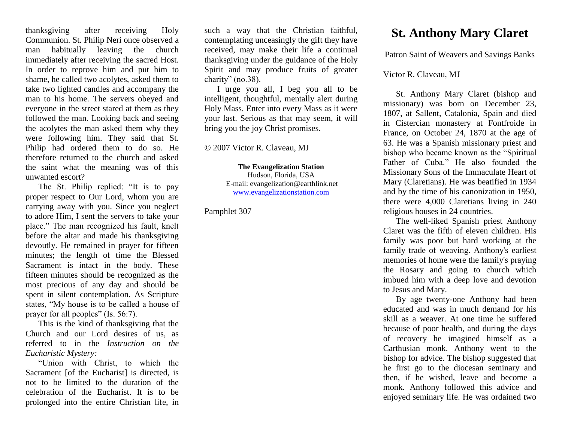thanksgiving after receiving Holy Communion. St. Philip Neri once observed a man habitually leaving the church immediately after receiving the sacred Host. In order to reprove him and put him to shame, he called two acolytes, asked them to take two lighted candles and accompany the man to his home. The servers obeyed and everyone in the street stared at them as they followed the man. Looking back and seeing the acolytes the man asked them why they were following him. They said that St. Philip had ordered them to do so. He therefore returned to the church and asked the saint what the meaning was of this unwanted escort?

The St. Philip replied: "It is to pay proper respect to Our Lord, whom you are carrying away with you. Since you neglect to adore Him, I sent the servers to take your place." The man recognized his fault, knelt before the altar and made his thanksgiving devoutly. He remained in prayer for fifteen minutes; the length of time the Blessed Sacrament is intact in the body. These fifteen minutes should be recognized as the most precious of any day and should be spent in silent contemplation. As Scripture states, "My house is to be called a house of prayer for all peoples" (Is. 56:7).

This is the kind of thanksgiving that the Church and our Lord desires of us, as referred to in the *Instruction on the Eucharistic Mystery:*

"Union with Christ, to which the Sacrament [of the Eucharist] is directed, is not to be limited to the duration of the celebration of the Eucharist. It is to be prolonged into the entire Christian life, in such a way that the Christian faithful, contemplating unceasingly the gift they have received, may make their life a continual thanksgiving under the guidance of the Holy Spirit and may produce fruits of greater charity" (no.38).

I urge you all, I beg you all to be intelligent, thoughtful, mentally alert during Holy Mass. Enter into every Mass as it were your last. Serious as that may seem, it will bring you the joy Christ promises.

© 2007 Victor R. Claveau, MJ

**The Evangelization Station** Hudson, Florida, USA E-mail: evangelization@earthlink.net [www.evangelizationstation.com](http://www.pjpiisoe.org/)

Pamphlet 307

## **St. Anthony Mary Claret**

Patron Saint of Weavers and Savings Banks

## Victor R. Claveau, MJ

St. Anthony Mary Claret (bishop and missionary) was born on December 23, 1807, at Sallent, Catalonia, Spain and died in Cistercian monastery at Fontfroide in France, on October 24, 1870 at the age of 63. He was a Spanish missionary priest and bishop who became known as the "Spiritual Father of Cuba." He also founded the Missionary Sons of the Immaculate Heart of Mary (Claretians). He was beatified in 1934 and by the time of his canonization in 1950, there were 4,000 Claretians living in 240 religious houses in 24 countries.

The well-liked Spanish priest Anthony Claret was the fifth of eleven children. His family was poor but hard working at the family trade of weaving. Anthony's earliest memories of home were the family's praying the Rosary and going to church which imbued him with a deep love and devotion to Jesus and Mary.

By age twenty-one Anthony had been educated and was in much demand for his skill as a weaver. At one time he suffered because of poor health, and during the days of recovery he imagined himself as a Carthusian monk. Anthony went to the bishop for advice. The bishop suggested that he first go to the diocesan seminary and then, if he wished, leave and become a monk. Anthony followed this advice and enjoyed seminary life. He was ordained two